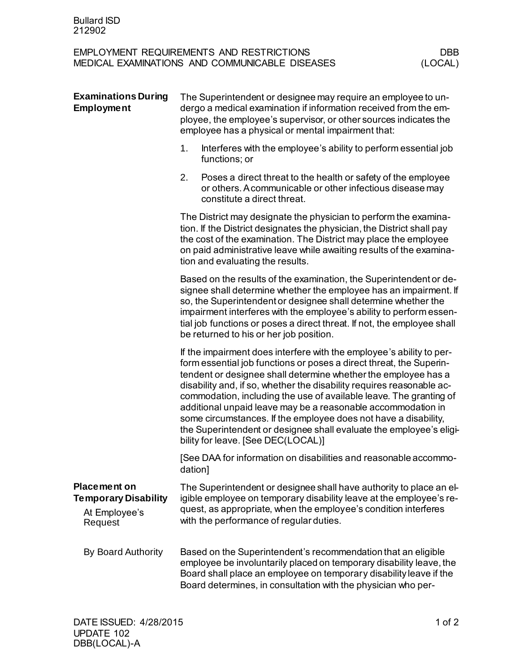| <b>EMPLOYMENT REQUIREMENTS AND RESTRICTIONS</b> | DBB     |
|-------------------------------------------------|---------|
| MEDICAL EXAMINATIONS AND COMMUNICABLE DISEASES  | (LOCAL) |

| <b>Examinations During</b><br><b>Employment</b>                                | The Superintendent or designee may require an employee to un-<br>dergo a medical examination if information received from the em-<br>ployee, the employee's supervisor, or other sources indicates the<br>employee has a physical or mental impairment that: |                                                                                                                                                                                                                                                                                                                                                                                                                                                                                                                                                                                                              |  |  |
|--------------------------------------------------------------------------------|--------------------------------------------------------------------------------------------------------------------------------------------------------------------------------------------------------------------------------------------------------------|--------------------------------------------------------------------------------------------------------------------------------------------------------------------------------------------------------------------------------------------------------------------------------------------------------------------------------------------------------------------------------------------------------------------------------------------------------------------------------------------------------------------------------------------------------------------------------------------------------------|--|--|
|                                                                                | 1.                                                                                                                                                                                                                                                           | Interferes with the employee's ability to perform essential job<br>functions; or                                                                                                                                                                                                                                                                                                                                                                                                                                                                                                                             |  |  |
|                                                                                | 2.                                                                                                                                                                                                                                                           | Poses a direct threat to the health or safety of the employee<br>or others. A communicable or other infectious disease may<br>constitute a direct threat.                                                                                                                                                                                                                                                                                                                                                                                                                                                    |  |  |
|                                                                                |                                                                                                                                                                                                                                                              | The District may designate the physician to perform the examina-<br>tion. If the District designates the physician, the District shall pay<br>the cost of the examination. The District may place the employee<br>on paid administrative leave while awaiting results of the examina-<br>tion and evaluating the results.                                                                                                                                                                                                                                                                                    |  |  |
|                                                                                |                                                                                                                                                                                                                                                              | Based on the results of the examination, the Superintendent or de-<br>signee shall determine whether the employee has an impairment. If<br>so, the Superintendent or designee shall determine whether the<br>impairment interferes with the employee's ability to perform essen-<br>tial job functions or poses a direct threat. If not, the employee shall<br>be returned to his or her job position.                                                                                                                                                                                                       |  |  |
|                                                                                |                                                                                                                                                                                                                                                              | If the impairment does interfere with the employee's ability to per-<br>form essential job functions or poses a direct threat, the Superin-<br>tendent or designee shall determine whether the employee has a<br>disability and, if so, whether the disability requires reasonable ac-<br>commodation, including the use of available leave. The granting of<br>additional unpaid leave may be a reasonable accommodation in<br>some circumstances. If the employee does not have a disability,<br>the Superintendent or designee shall evaluate the employee's eligi-<br>bility for leave. [See DEC(LOCAL)] |  |  |
|                                                                                | dation]                                                                                                                                                                                                                                                      | [See DAA for information on disabilities and reasonable accommo-                                                                                                                                                                                                                                                                                                                                                                                                                                                                                                                                             |  |  |
| <b>Placement on</b><br><b>Temporary Disability</b><br>At Employee's<br>Request |                                                                                                                                                                                                                                                              | The Superintendent or designee shall have authority to place an el-<br>igible employee on temporary disability leave at the employee's re-<br>quest, as appropriate, when the employee's condition interferes<br>with the performance of regular duties.                                                                                                                                                                                                                                                                                                                                                     |  |  |
| By Board Authority                                                             |                                                                                                                                                                                                                                                              | Based on the Superintendent's recommendation that an eligible<br>employee be involuntarily placed on temporary disability leave, the<br>Board shall place an employee on temporary disability leave if the<br>Board determines, in consultation with the physician who per-                                                                                                                                                                                                                                                                                                                                  |  |  |